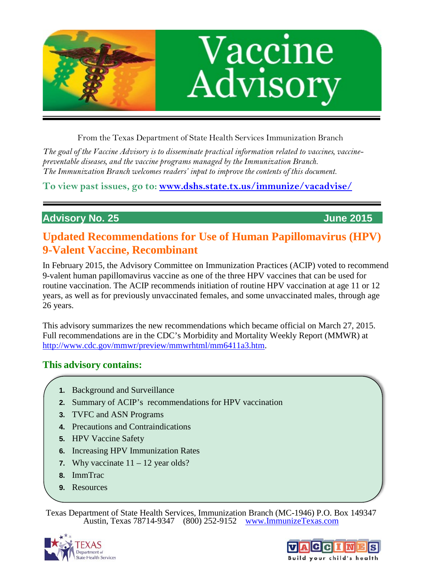

From the Texas Department of State Health Services Immunization Branch

*The goal of the Vaccine Advisory is to disseminate practical information related to vaccines, vaccinepreventable diseases, and the vaccine programs managed by the Immunization Branch. The Immunization Branch welcomes readers' input to improve the contents of this document.*

**To view past issues, go to: [www.dshs.state.tx.us/immunize/vacadvise/](http://www.dshs.state.tx.us/immunize/vacadvise/)**

# **Advisory No. 25 June 2015**

# **Updated Recommendations for Use of Human Papillomavirus (HPV) 9-Valent Vaccine, Recombinant**

In February 2015, the Advisory Committee on Immunization Practices (ACIP) voted to recommend 9-valent human papillomavirus vaccine as one of the three HPV vaccines that can be used for routine vaccination. The ACIP recommends initiation of routine HPV vaccination at age 11 or 12 years, as well as for previously unvaccinated females, and some unvaccinated males, through age 26 years.

This advisory summarizes the new recommendations which became official on March 27, 2015. Full recommendations are in the CDC's Morbidity and Mortality Weekly Report (MMWR) at [http://www.cdc.gov/mmwr/preview/mmwrhtml/mm6411a3.htm.](http://www.cdc.gov/mmwr/preview/mmwrhtml/mm6411a3.htm)

# **This advisory contains:**

- **1.** Background and Surveillance
- **2.** Summary of ACIP's recommendations for HPV vaccination
- **3.** TVFC and ASN Programs
- **4.** Precautions and Contraindications
- **5.** HPV Vaccine Safety
- **6.** Increasing HPV Immunization Rates
- **7.** Why vaccinate  $11 12$  year olds?
- **8.** ImmTrac
- **9.** Resources

Texas Department of State Health Services, Immunization Branch (MC-1946) P.O. Box 149347 Austin, Texas 78714-9347 (800) 252-9152 [www.ImmunizeTexas.com](http://www.immunizetexas.com/)



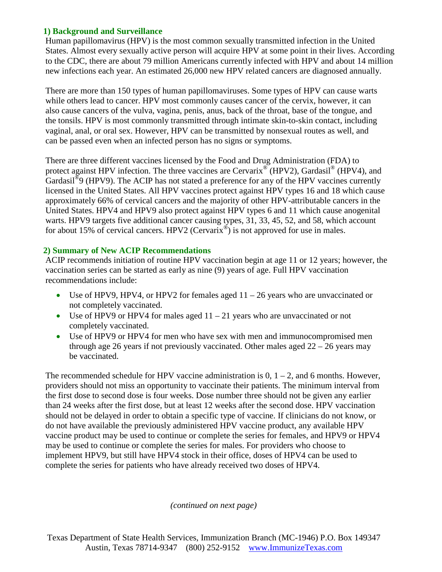# **1) Background and Surveillance**

Human papillomavirus (HPV) is the most common sexually transmitted infection in the United States. Almost every sexually active person will acquire HPV at some point in their lives. According to the CDC, there are about 79 million Americans currently infected with HPV and about 14 million new infections each year. An estimated 26,000 new HPV related cancers are diagnosed annually.

There are more than 150 types of human papillomaviruses. Some types of HPV can cause warts while others lead to cancer. HPV most commonly causes cancer of the cervix, however, it can also cause cancers of the vulva, vagina, penis, anus, back of the throat, base of the tongue, and the tonsils. HPV is most commonly transmitted through intimate skin-to-skin contact, including vaginal, anal, or oral sex. However, HPV can be transmitted by nonsexual routes as well, and can be passed even when an infected person has no signs or symptoms.

There are three different vaccines licensed by the Food and Drug Administration (FDA) to protect against HPV infection. The three vaccines are Cervarix<sup>®</sup> (HPV2), Gardasil<sup>®</sup> (HPV4), and Gardasil<sup>®</sup>9 (HPV9). The ACIP has not stated a preference for any of the HPV vaccines currently licensed in the United States. All HPV vaccines protect against HPV types 16 and 18 which cause approximately 66% of cervical cancers and the majority of other HPV-attributable cancers in the United States. HPV4 and HPV9 also protect against HPV types 6 and 11 which cause anogenital warts. HPV9 targets five additional cancer causing types, 31, 33, 45, 52, and 58, which account for about 15% of cervical cancers. HPV2 ( $Cervarix^@$ ) is not approved for use in males.

# **2) Summary of New ACIP Recommendations**

ACIP recommends initiation of routine HPV vaccination begin at age 11 or 12 years; however, the vaccination series can be started as early as nine (9) years of age. Full HPV vaccination recommendations include:

- Use of HPV9, HPV4, or HPV2 for females aged  $11 26$  years who are unvaccinated or not completely vaccinated.
- Use of HPV9 or HPV4 for males aged  $11 21$  years who are unvaccinated or not completely vaccinated.
- Use of HPV9 or HPV4 for men who have sex with men and immunocompromised men through age 26 years if not previously vaccinated. Other males aged  $22 - 26$  years may be vaccinated.

The recommended schedule for HPV vaccine administration is  $0, 1 - 2$ , and 6 months. However, providers should not miss an opportunity to vaccinate their patients. The minimum interval from the first dose to second dose is four weeks. Dose number three should not be given any earlier than 24 weeks after the first dose, but at least 12 weeks after the second dose. HPV vaccination should not be delayed in order to obtain a specific type of vaccine. If clinicians do not know, or do not have available the previously administered HPV vaccine product, any available HPV vaccine product may be used to continue or complete the series for females, and HPV9 or HPV4 may be used to continue or complete the series for males. For providers who choose to implement HPV9, but still have HPV4 stock in their office, doses of HPV4 can be used to complete the series for patients who have already received two doses of HPV4.

*(continued on next page)*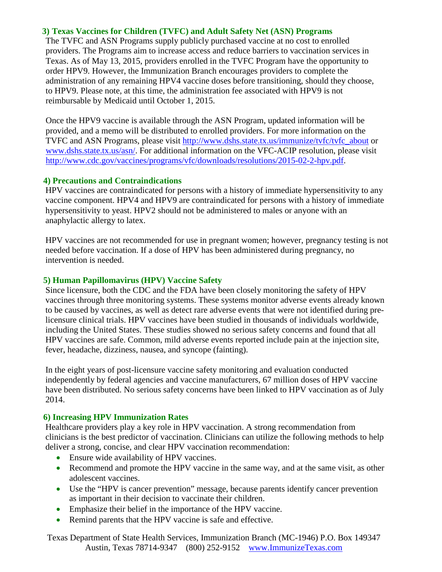## **3) Texas Vaccines for Children (TVFC) and Adult Safety Net (ASN) Programs**

The TVFC and ASN Programs supply publicly purchased vaccine at no cost to enrolled providers. The Programs aim to increase access and reduce barriers to vaccination services in Texas. As of May 13, 2015, providers enrolled in the TVFC Program have the opportunity to order HPV9. However, the Immunization Branch encourages providers to complete the administration of any remaining HPV4 vaccine doses before transitioning, should they choose, to HPV9. Please note, at this time, the administration fee associated with HPV9 is not reimbursable by Medicaid until October 1, 2015.

Once the HPV9 vaccine is available through the ASN Program, updated information will be provided, and a memo will be distributed to enrolled providers. For more information on the TVFC and ASN Programs, please visit [http://www.dshs.state.tx.us/immunize/tvfc/tvfc\\_about](http://www.dshs.state.tx.us/immunize/tvfc/tvfc_about.shtm) or [www.dshs.state.tx.us/asn/.](http://www.dshs.state.tx.us/asn/) For additional information on the VFC-ACIP resolution, please visit [http://www.cdc.gov/vaccines/programs/vfc/downloads/resolutions/2015-02-2-hpv.pdf.](http://www.cdc.gov/vaccines/programs/vfc/downloads/resolutions/2015-02-2-hpv.pdf)

#### **4) Precautions and Contraindications**

HPV vaccines are contraindicated for persons with a history of immediate hypersensitivity to any vaccine component. HPV4 and HPV9 are contraindicated for persons with a history of immediate hypersensitivity to yeast. HPV2 should not be administered to males or anyone with an anaphylactic allergy to latex.

HPV vaccines are not recommended for use in pregnant women; however, pregnancy testing is not needed before vaccination. If a dose of HPV has been administered during pregnancy, no intervention is needed.

#### **5) Human Papillomavirus (HPV) Vaccine Safety**

Since licensure, both the CDC and the FDA have been closely monitoring the safety of HPV vaccines through three monitoring systems. These systems monitor adverse events already known to be caused by vaccines, as well as detect rare adverse events that were not identified during prelicensure clinical trials. HPV vaccines have been studied in thousands of individuals worldwide, including the United States. These studies showed no serious safety concerns and found that all HPV vaccines are safe. Common, mild adverse events reported include pain at the injection site, fever, headache, dizziness, nausea, and syncope (fainting).

In the eight years of post-licensure vaccine safety monitoring and evaluation conducted independently by federal agencies and vaccine manufacturers, 67 million doses of HPV vaccine have been distributed. No serious safety concerns have been linked to HPV vaccination as of July 2014.

#### **6) Increasing HPV Immunization Rates**

Healthcare providers play a key role in HPV vaccination. A strong recommendation from clinicians is the best predictor of vaccination. Clinicians can utilize the following methods to help deliver a strong, concise, and clear HPV vaccination recommendation:

- Ensure wide availability of HPV vaccines.
- Recommend and promote the HPV vaccine in the same way, and at the same visit, as other adolescent vaccines.
- Use the "HPV is cancer prevention" message, because parents identify cancer prevention as important in their decision to vaccinate their children.
- Emphasize their belief in the importance of the HPV vaccine.
- Remind parents that the HPV vaccine is safe and effective.

Texas Department of State Health Services, Immunization Branch (MC-1946) P.O. Box 149347 Austin, Texas 78714-9347 (800) 252-9152 [www.ImmunizeTexas.com](http://www.immunizetexas.com/)